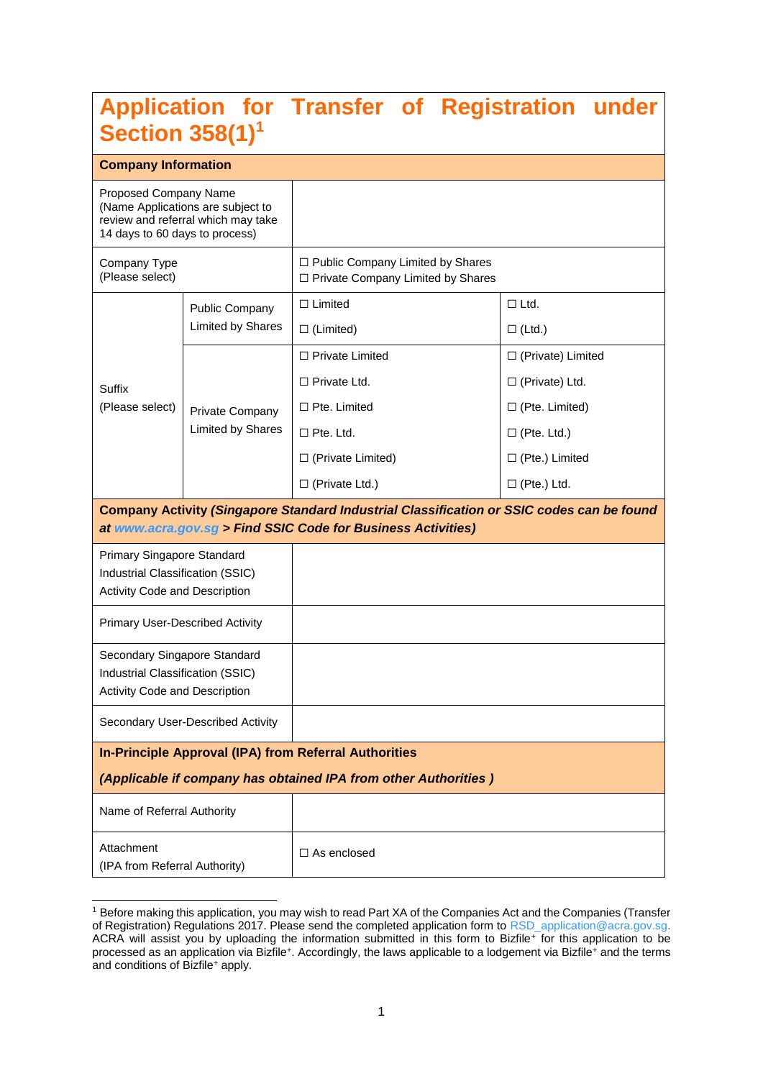# **Application for Transfer of Registration under Section 358(1)<sup>1</sup>**

# **Company Information**

-

| <b>UUIIIpany IIIIUIIIIauUII</b>                                                                                                    |                                   |                                                                                                                                                           |                          |  |  |
|------------------------------------------------------------------------------------------------------------------------------------|-----------------------------------|-----------------------------------------------------------------------------------------------------------------------------------------------------------|--------------------------|--|--|
| Proposed Company Name<br>(Name Applications are subject to<br>review and referral which may take<br>14 days to 60 days to process) |                                   |                                                                                                                                                           |                          |  |  |
| Company Type<br>(Please select)                                                                                                    |                                   | $\Box$ Public Company Limited by Shares<br>□ Private Company Limited by Shares                                                                            |                          |  |  |
|                                                                                                                                    | Public Company                    | $\Box$ Limited                                                                                                                                            | $\Box$ Ltd.              |  |  |
|                                                                                                                                    | Limited by Shares                 | $\Box$ (Limited)                                                                                                                                          | $\square$ (Ltd.)         |  |  |
|                                                                                                                                    |                                   | □ Private Limited                                                                                                                                         | $\Box$ (Private) Limited |  |  |
| Suffix                                                                                                                             |                                   | $\Box$ Private Ltd.                                                                                                                                       | $\Box$ (Private) Ltd.    |  |  |
| (Please select)                                                                                                                    | Private Company                   | $\Box$ Pte. Limited                                                                                                                                       | $\Box$ (Pte. Limited)    |  |  |
|                                                                                                                                    | Limited by Shares                 | $\square$ Pte. Ltd.                                                                                                                                       | $\Box$ (Pte. Ltd.)       |  |  |
|                                                                                                                                    |                                   | $\Box$ (Private Limited)                                                                                                                                  | $\Box$ (Pte.) Limited    |  |  |
|                                                                                                                                    |                                   | $\Box$ (Private Ltd.)                                                                                                                                     | $\Box$ (Pte.) Ltd.       |  |  |
|                                                                                                                                    |                                   | Company Activity (Singapore Standard Industrial Classification or SSIC codes can be found<br>at www.acra.gov.sg > Find SSIC Code for Business Activities) |                          |  |  |
| Primary Singapore Standard<br>Industrial Classification (SSIC)<br>Activity Code and Description                                    |                                   |                                                                                                                                                           |                          |  |  |
| Primary User-Described Activity                                                                                                    |                                   |                                                                                                                                                           |                          |  |  |
| Secondary Singapore Standard<br>Industrial Classification (SSIC)<br><b>Activity Code and Description</b>                           |                                   |                                                                                                                                                           |                          |  |  |
|                                                                                                                                    | Secondary User-Described Activity |                                                                                                                                                           |                          |  |  |
| <b>In-Principle Approval (IPA) from Referral Authorities</b>                                                                       |                                   |                                                                                                                                                           |                          |  |  |
|                                                                                                                                    |                                   | (Applicable if company has obtained IPA from other Authorities)                                                                                           |                          |  |  |
| Name of Referral Authority                                                                                                         |                                   |                                                                                                                                                           |                          |  |  |
| Attachment<br>(IPA from Referral Authority)                                                                                        |                                   | $\Box$ As enclosed                                                                                                                                        |                          |  |  |

<sup>1</sup> Before making this application, you may wish to read Part XA of the Companies Act and the Companies (Transfer of Registration) Regulations 2017. Please send the completed application form to [RSD\\_application@acra.gov.sg.](mailto:RSD_application@acra.gov.sg) ACRA will assist you by uploading the information submitted in this form to Bizfile<sup>+</sup> for this application to be processed as an application via Bizfile<sup>+</sup>. Accordingly, the laws applicable to a lodgement via Bizfile<sup>+</sup> and the terms and conditions of Bizfile<sup>+</sup> apply.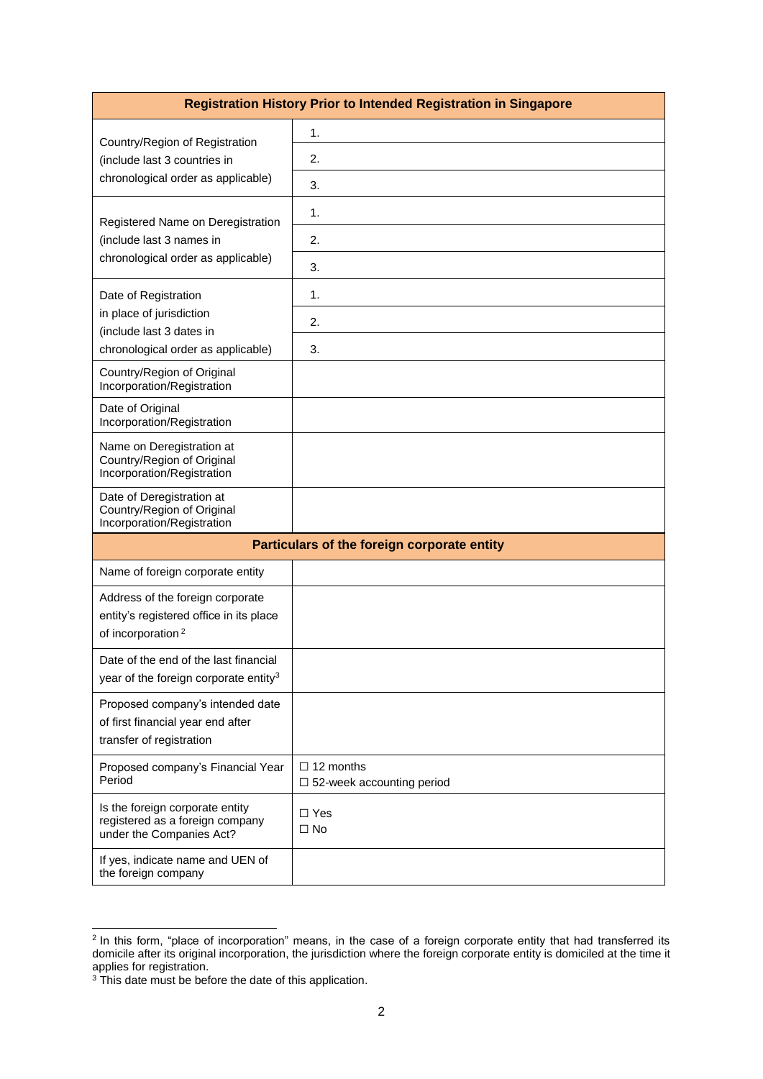|                                                                                                              | <b>Registration History Prior to Intended Registration in Singapore</b> |  |  |  |  |  |
|--------------------------------------------------------------------------------------------------------------|-------------------------------------------------------------------------|--|--|--|--|--|
| Country/Region of Registration                                                                               | 1.                                                                      |  |  |  |  |  |
| (include last 3 countries in                                                                                 | 2.                                                                      |  |  |  |  |  |
| chronological order as applicable)                                                                           | 3.                                                                      |  |  |  |  |  |
| Registered Name on Deregistration                                                                            | 1.                                                                      |  |  |  |  |  |
| (include last 3 names in                                                                                     | 2.                                                                      |  |  |  |  |  |
| chronological order as applicable)                                                                           | 3.                                                                      |  |  |  |  |  |
| Date of Registration                                                                                         | 1.                                                                      |  |  |  |  |  |
| in place of jurisdiction                                                                                     | 2.                                                                      |  |  |  |  |  |
| (include last 3 dates in<br>chronological order as applicable)                                               | 3.                                                                      |  |  |  |  |  |
| Country/Region of Original<br>Incorporation/Registration                                                     |                                                                         |  |  |  |  |  |
| Date of Original<br>Incorporation/Registration                                                               |                                                                         |  |  |  |  |  |
| Name on Deregistration at<br>Country/Region of Original<br>Incorporation/Registration                        |                                                                         |  |  |  |  |  |
| Date of Deregistration at<br>Country/Region of Original<br>Incorporation/Registration                        |                                                                         |  |  |  |  |  |
|                                                                                                              | Particulars of the foreign corporate entity                             |  |  |  |  |  |
| Name of foreign corporate entity                                                                             |                                                                         |  |  |  |  |  |
| Address of the foreign corporate<br>entity's registered office in its place<br>of incorporation <sup>2</sup> |                                                                         |  |  |  |  |  |
| Date of the end of the last financial<br>year of the foreign corporate entity <sup>3</sup>                   |                                                                         |  |  |  |  |  |
| Proposed company's intended date<br>of first financial year end after<br>transfer of registration            |                                                                         |  |  |  |  |  |
| Proposed company's Financial Year<br>Period                                                                  | $\Box$ 12 months<br>$\square$ 52-week accounting period                 |  |  |  |  |  |
| Is the foreign corporate entity<br>registered as a foreign company<br>under the Companies Act?               | $\Box$ Yes<br>$\Box$ No                                                 |  |  |  |  |  |
| If yes, indicate name and UEN of<br>the foreign company                                                      |                                                                         |  |  |  |  |  |

 2 In this form, "place of incorporation" means, in the case of a foreign corporate entity that had transferred its domicile after its original incorporation, the jurisdiction where the foreign corporate entity is domiciled at the time it applies for registration.

 $3$  This date must be before the date of this application.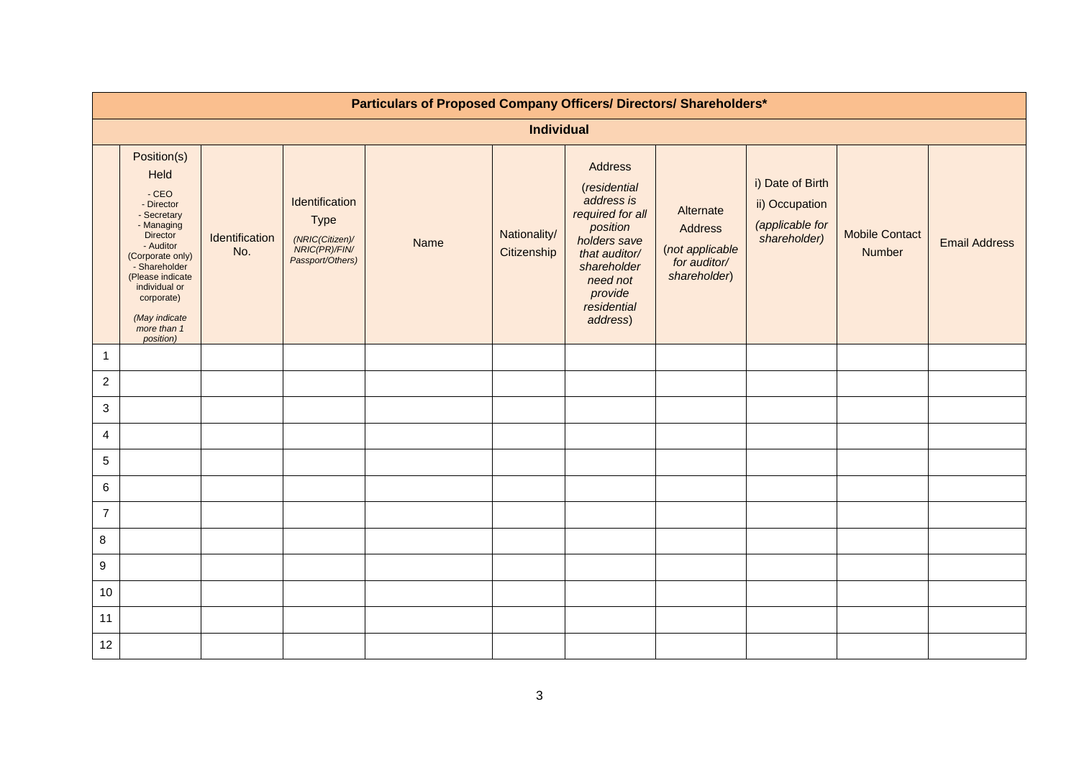|                  | Particulars of Proposed Company Officers/ Directors/ Shareholders*                                                                                                                                                                     |                       |                                                                                       |      |                             |                                                                                                                                                                         |                                                                         |                                                                       |                                 |                      |  |
|------------------|----------------------------------------------------------------------------------------------------------------------------------------------------------------------------------------------------------------------------------------|-----------------------|---------------------------------------------------------------------------------------|------|-----------------------------|-------------------------------------------------------------------------------------------------------------------------------------------------------------------------|-------------------------------------------------------------------------|-----------------------------------------------------------------------|---------------------------------|----------------------|--|
|                  | <b>Individual</b>                                                                                                                                                                                                                      |                       |                                                                                       |      |                             |                                                                                                                                                                         |                                                                         |                                                                       |                                 |                      |  |
|                  | Position(s)<br>Held<br>$-CEO$<br>- Director<br>- Secretary<br>- Managing<br>Director<br>- Auditor<br>(Corporate only)<br>- Shareholder<br>(Please indicate<br>individual or<br>corporate)<br>(May indicate<br>more than 1<br>position) | Identification<br>No. | Identification<br><b>Type</b><br>(NRIC(Citizen)/<br>NRIC(PR)/FIN/<br>Passport/Others) | Name | Nationality/<br>Citizenship | Address<br>(residential<br>address is<br>required for all<br>position<br>holders save<br>that auditor/<br>shareholder<br>need not<br>provide<br>residential<br>address) | Alternate<br>Address<br>(not applicable<br>for auditor/<br>shareholder) | i) Date of Birth<br>ii) Occupation<br>(applicable for<br>shareholder) | <b>Mobile Contact</b><br>Number | <b>Email Address</b> |  |
| $\mathbf{1}$     |                                                                                                                                                                                                                                        |                       |                                                                                       |      |                             |                                                                                                                                                                         |                                                                         |                                                                       |                                 |                      |  |
| $\overline{a}$   |                                                                                                                                                                                                                                        |                       |                                                                                       |      |                             |                                                                                                                                                                         |                                                                         |                                                                       |                                 |                      |  |
| $\mathbf{3}$     |                                                                                                                                                                                                                                        |                       |                                                                                       |      |                             |                                                                                                                                                                         |                                                                         |                                                                       |                                 |                      |  |
| 4                |                                                                                                                                                                                                                                        |                       |                                                                                       |      |                             |                                                                                                                                                                         |                                                                         |                                                                       |                                 |                      |  |
| $5\phantom{.0}$  |                                                                                                                                                                                                                                        |                       |                                                                                       |      |                             |                                                                                                                                                                         |                                                                         |                                                                       |                                 |                      |  |
| 6                |                                                                                                                                                                                                                                        |                       |                                                                                       |      |                             |                                                                                                                                                                         |                                                                         |                                                                       |                                 |                      |  |
| $\overline{7}$   |                                                                                                                                                                                                                                        |                       |                                                                                       |      |                             |                                                                                                                                                                         |                                                                         |                                                                       |                                 |                      |  |
| 8                |                                                                                                                                                                                                                                        |                       |                                                                                       |      |                             |                                                                                                                                                                         |                                                                         |                                                                       |                                 |                      |  |
| $\boldsymbol{9}$ |                                                                                                                                                                                                                                        |                       |                                                                                       |      |                             |                                                                                                                                                                         |                                                                         |                                                                       |                                 |                      |  |
| 10               |                                                                                                                                                                                                                                        |                       |                                                                                       |      |                             |                                                                                                                                                                         |                                                                         |                                                                       |                                 |                      |  |
| 11               |                                                                                                                                                                                                                                        |                       |                                                                                       |      |                             |                                                                                                                                                                         |                                                                         |                                                                       |                                 |                      |  |
| 12               |                                                                                                                                                                                                                                        |                       |                                                                                       |      |                             |                                                                                                                                                                         |                                                                         |                                                                       |                                 |                      |  |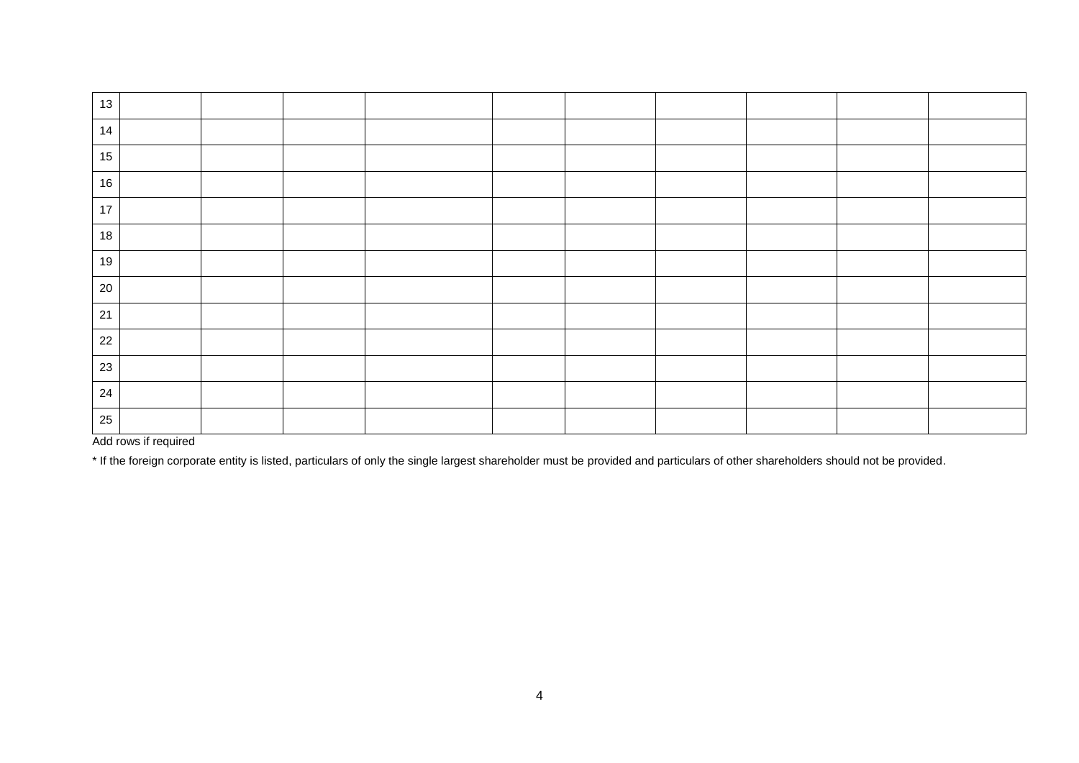| 13     |  |  |  |  |  |
|--------|--|--|--|--|--|
| 14     |  |  |  |  |  |
| 15     |  |  |  |  |  |
| 16     |  |  |  |  |  |
| $17$   |  |  |  |  |  |
| $18$   |  |  |  |  |  |
| 19     |  |  |  |  |  |
| 20     |  |  |  |  |  |
| 21     |  |  |  |  |  |
| $22\,$ |  |  |  |  |  |
| 23     |  |  |  |  |  |
| 24     |  |  |  |  |  |
| 25     |  |  |  |  |  |

Add rows if required

\* If the foreign corporate entity is listed, particulars of only the single largest shareholder must be provided and particulars of other shareholders should not be provided.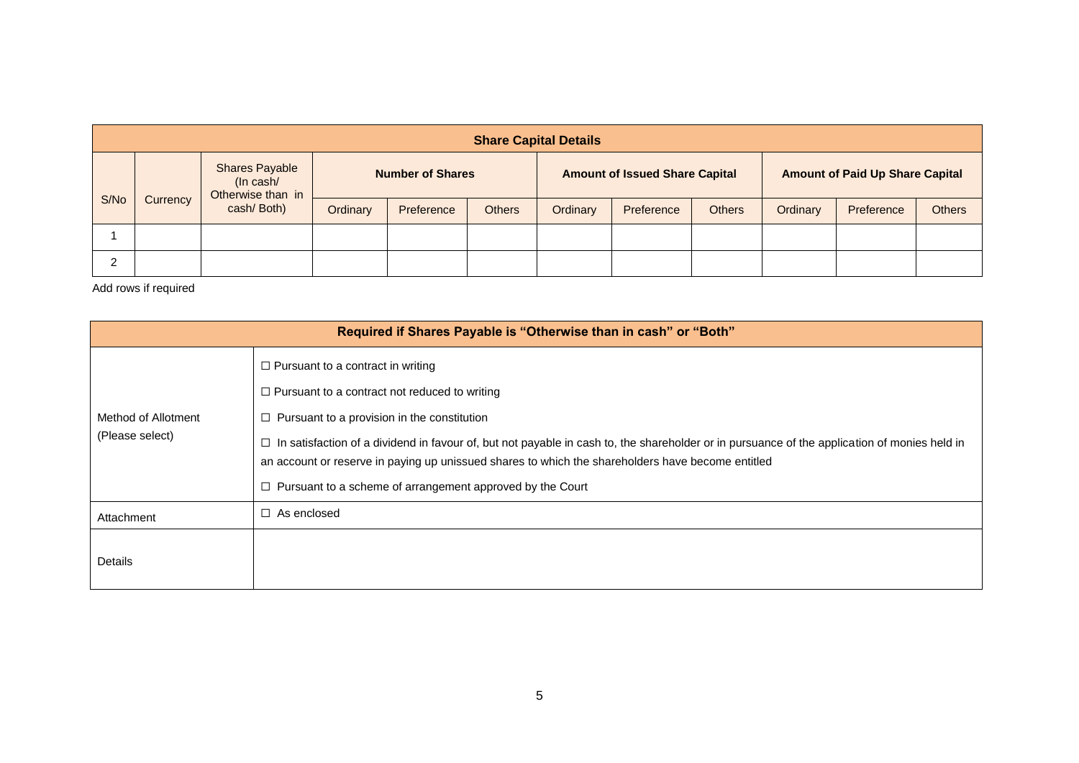|  | <b>Share Capital Details</b>   |                                                         |                         |            |               |                                       |            |               |                                        |            |               |
|--|--------------------------------|---------------------------------------------------------|-------------------------|------------|---------------|---------------------------------------|------------|---------------|----------------------------------------|------------|---------------|
|  |                                | <b>Shares Payable</b><br>(In cash/<br>Otherwise than in | <b>Number of Shares</b> |            |               | <b>Amount of Issued Share Capital</b> |            |               | <b>Amount of Paid Up Share Capital</b> |            |               |
|  | S/No<br>Currency<br>cash/Both) |                                                         | Ordinary                | Preference | <b>Others</b> | Ordinary                              | Preference | <b>Others</b> | Ordinary                               | Preference | <b>Others</b> |
|  |                                |                                                         |                         |            |               |                                       |            |               |                                        |            |               |
|  |                                |                                                         |                         |            |               |                                       |            |               |                                        |            |               |

Add rows if required

| Required if Shares Payable is "Otherwise than in cash" or "Both" |                                                                                                                                                                                                                                                                                                                                                                                                                                                                                       |  |  |  |  |  |  |  |  |
|------------------------------------------------------------------|---------------------------------------------------------------------------------------------------------------------------------------------------------------------------------------------------------------------------------------------------------------------------------------------------------------------------------------------------------------------------------------------------------------------------------------------------------------------------------------|--|--|--|--|--|--|--|--|
| Method of Allotment<br>(Please select)                           | $\Box$ Pursuant to a contract in writing<br>$\Box$ Pursuant to a contract not reduced to writing<br>Pursuant to a provision in the constitution<br>$\Box$<br>In satisfaction of a dividend in favour of, but not payable in cash to, the shareholder or in pursuance of the application of monies held in<br>□<br>an account or reserve in paying up unissued shares to which the shareholders have become entitled<br>Pursuant to a scheme of arrangement approved by the Court<br>□ |  |  |  |  |  |  |  |  |
| Attachment                                                       | As enclosed<br>П                                                                                                                                                                                                                                                                                                                                                                                                                                                                      |  |  |  |  |  |  |  |  |
| Details                                                          |                                                                                                                                                                                                                                                                                                                                                                                                                                                                                       |  |  |  |  |  |  |  |  |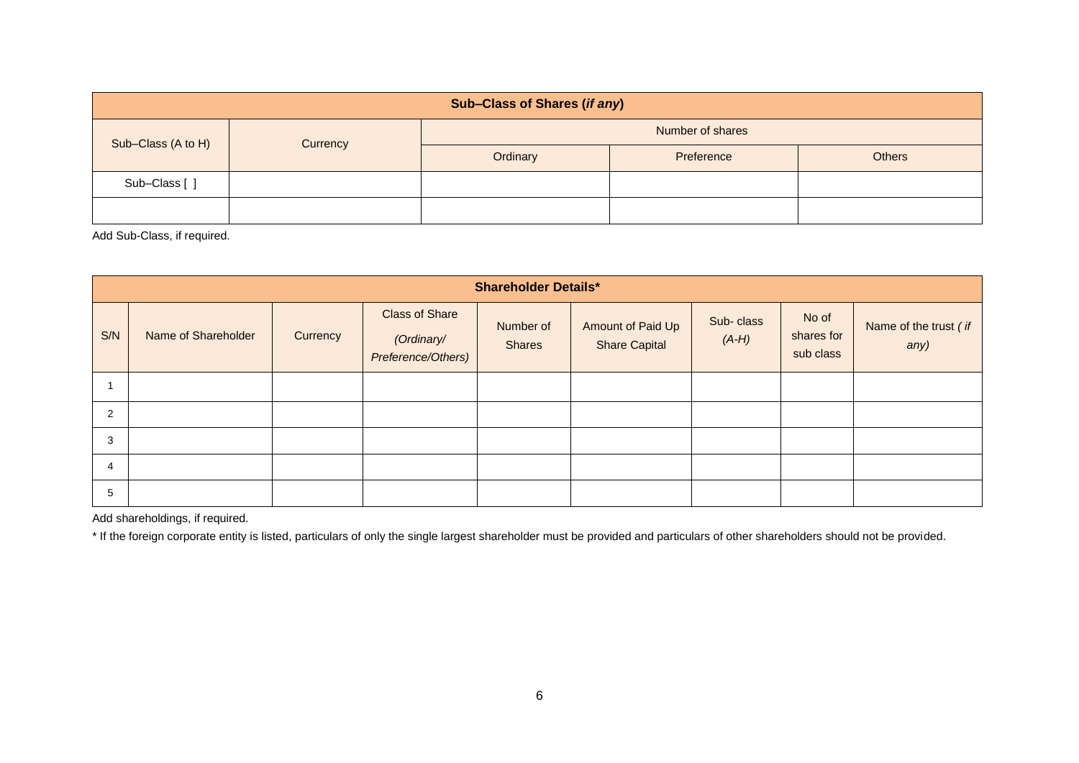| Sub-Class of Shares (if any) |          |                  |            |               |  |  |  |  |  |
|------------------------------|----------|------------------|------------|---------------|--|--|--|--|--|
| Sub-Class (A to H)           |          | Number of shares |            |               |  |  |  |  |  |
|                              | Currency | Ordinary         | Preference | <b>Others</b> |  |  |  |  |  |
| Sub-Class [ ]                |          |                  |            |               |  |  |  |  |  |
|                              |          |                  |            |               |  |  |  |  |  |

Add Sub-Class, if required.

|     | <b>Shareholder Details*</b> |          |                                                           |                            |                                           |                      |                                  |                               |  |  |
|-----|-----------------------------|----------|-----------------------------------------------------------|----------------------------|-------------------------------------------|----------------------|----------------------------------|-------------------------------|--|--|
| S/N | Name of Shareholder         | Currency | <b>Class of Share</b><br>(Ordinary/<br>Preference/Others) | Number of<br><b>Shares</b> | Amount of Paid Up<br><b>Share Capital</b> | Sub-class<br>$(A-H)$ | No of<br>shares for<br>sub class | Name of the trust (if<br>any) |  |  |
|     |                             |          |                                                           |                            |                                           |                      |                                  |                               |  |  |
| 2   |                             |          |                                                           |                            |                                           |                      |                                  |                               |  |  |
| 3   |                             |          |                                                           |                            |                                           |                      |                                  |                               |  |  |
| 4   |                             |          |                                                           |                            |                                           |                      |                                  |                               |  |  |
| 5   |                             |          |                                                           |                            |                                           |                      |                                  |                               |  |  |

Add shareholdings, if required.

\* If the foreign corporate entity is listed, particulars of only the single largest shareholder must be provided and particulars of other shareholders should not be provided.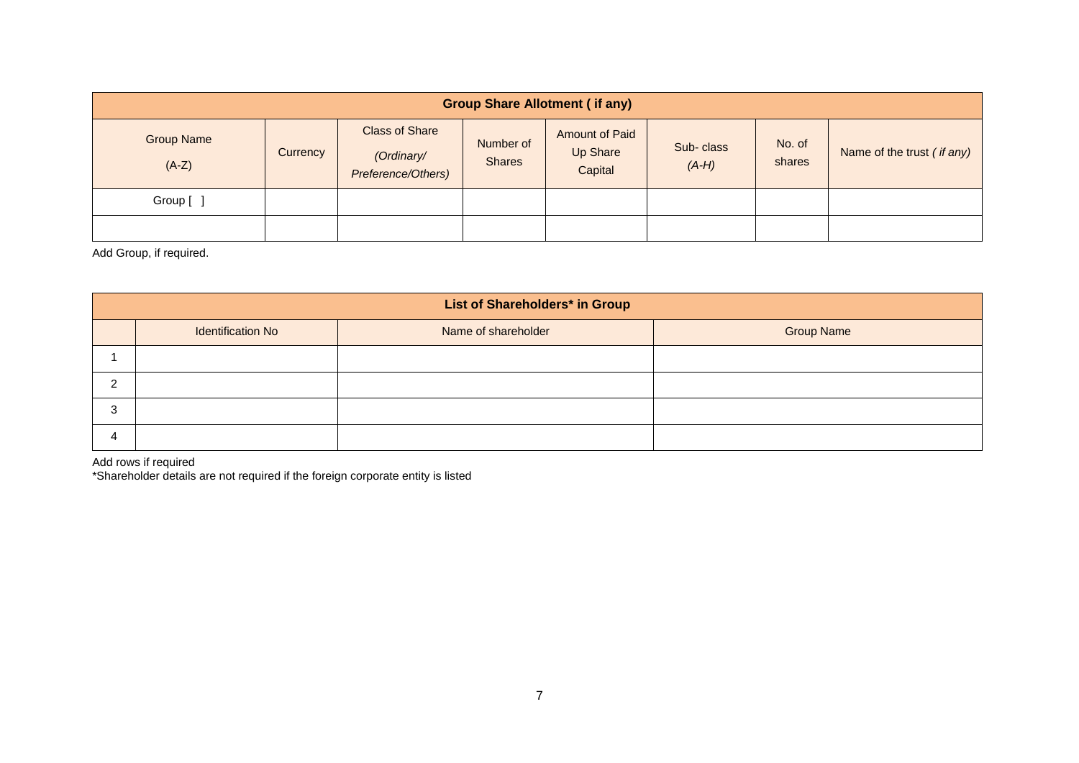| <b>Group Share Allotment (if any)</b> |          |                                                           |                            |                                              |                      |                  |                            |  |  |
|---------------------------------------|----------|-----------------------------------------------------------|----------------------------|----------------------------------------------|----------------------|------------------|----------------------------|--|--|
| <b>Group Name</b><br>$(A-Z)$          | Currency | <b>Class of Share</b><br>(Ordinary/<br>Preference/Others) | Number of<br><b>Shares</b> | <b>Amount of Paid</b><br>Up Share<br>Capital | Sub-class<br>$(A-H)$ | No. of<br>shares | Name of the trust (if any) |  |  |
| Group [ ]                             |          |                                                           |                            |                                              |                      |                  |                            |  |  |
|                                       |          |                                                           |                            |                                              |                      |                  |                            |  |  |

Add Group, if required.

| List of Shareholders* in Group |                     |                   |  |  |  |  |  |  |  |  |
|--------------------------------|---------------------|-------------------|--|--|--|--|--|--|--|--|
| <b>Identification No</b>       | Name of shareholder | <b>Group Name</b> |  |  |  |  |  |  |  |  |
|                                |                     |                   |  |  |  |  |  |  |  |  |
|                                |                     |                   |  |  |  |  |  |  |  |  |
|                                |                     |                   |  |  |  |  |  |  |  |  |
|                                |                     |                   |  |  |  |  |  |  |  |  |

Add rows if required \*Shareholder details are not required if the foreign corporate entity is listed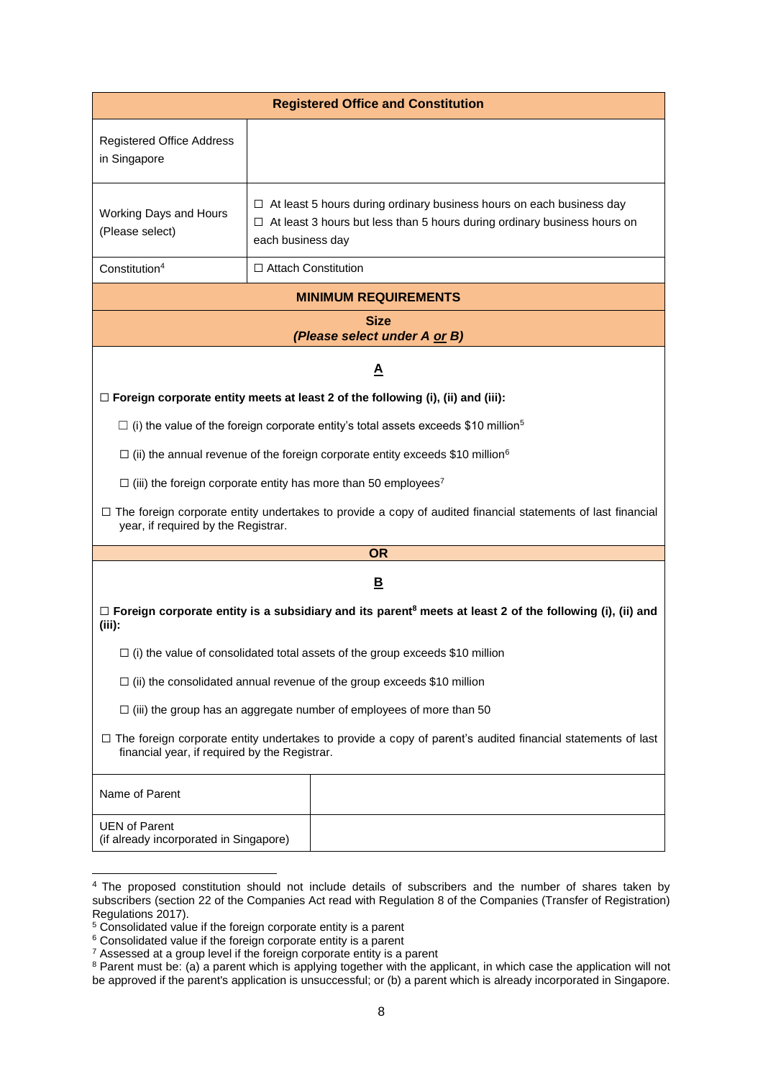|                                                                |                            | <b>Registered Office and Constitution</b>                                                                                                                      |
|----------------------------------------------------------------|----------------------------|----------------------------------------------------------------------------------------------------------------------------------------------------------------|
| <b>Registered Office Address</b><br>in Singapore               |                            |                                                                                                                                                                |
| Working Days and Hours<br>(Please select)                      | each business day          | $\Box$ At least 5 hours during ordinary business hours on each business day<br>$\Box$ At least 3 hours but less than 5 hours during ordinary business hours on |
| Constitution <sup>4</sup>                                      | $\Box$ Attach Constitution |                                                                                                                                                                |
|                                                                |                            | <b>MINIMUM REQUIREMENTS</b>                                                                                                                                    |
|                                                                |                            | <b>Size</b><br>(Please select under A or B)                                                                                                                    |
|                                                                |                            | $\overline{\mathbf{A}}$                                                                                                                                        |
|                                                                |                            | $\Box$ Foreign corporate entity meets at least 2 of the following (i), (ii) and (iii):                                                                         |
|                                                                |                            | $\Box$ (i) the value of the foreign corporate entity's total assets exceeds \$10 million <sup>5</sup>                                                          |
|                                                                |                            | $\Box$ (ii) the annual revenue of the foreign corporate entity exceeds \$10 million <sup>6</sup>                                                               |
|                                                                |                            | $\Box$ (iii) the foreign corporate entity has more than 50 employees <sup>7</sup>                                                                              |
| year, if required by the Registrar.                            |                            | $\Box$ The foreign corporate entity undertakes to provide a copy of audited financial statements of last financial                                             |
|                                                                |                            | <b>OR</b>                                                                                                                                                      |
|                                                                |                            | $\overline{\mathbf{B}}$                                                                                                                                        |
| $(iii)$ :                                                      |                            | $\Box$ Foreign corporate entity is a subsidiary and its parent <sup>8</sup> meets at least 2 of the following (i), (ii) and                                    |
|                                                                |                            | $\Box$ (i) the value of consolidated total assets of the group exceeds \$10 million                                                                            |
|                                                                |                            | $\Box$ (ii) the consolidated annual revenue of the group exceeds \$10 million                                                                                  |
|                                                                |                            | $\Box$ (iii) the group has an aggregate number of employees of more than 50                                                                                    |
| financial year, if required by the Registrar.                  |                            | $\Box$ The foreign corporate entity undertakes to provide a copy of parent's audited financial statements of last                                              |
| Name of Parent                                                 |                            |                                                                                                                                                                |
| <b>UEN of Parent</b><br>(if already incorporated in Singapore) |                            |                                                                                                                                                                |

1

<sup>&</sup>lt;sup>4</sup> The proposed constitution should not include details of subscribers and the number of shares taken by subscribers (section 22 of the Companies Act read with Regulation 8 of the Companies (Transfer of Registration) Regulations 2017).

<sup>&</sup>lt;sup>5</sup> Consolidated value if the foreign corporate entity is a parent

<sup>6</sup> Consolidated value if the foreign corporate entity is a parent

 $7$  Assessed at a group level if the foreign corporate entity is a parent

<sup>&</sup>lt;sup>8</sup> Parent must be: (a) a parent which is applying together with the applicant, in which case the application will not be approved if the parent's application is unsuccessful; or (b) a parent which is already incorporated in Singapore.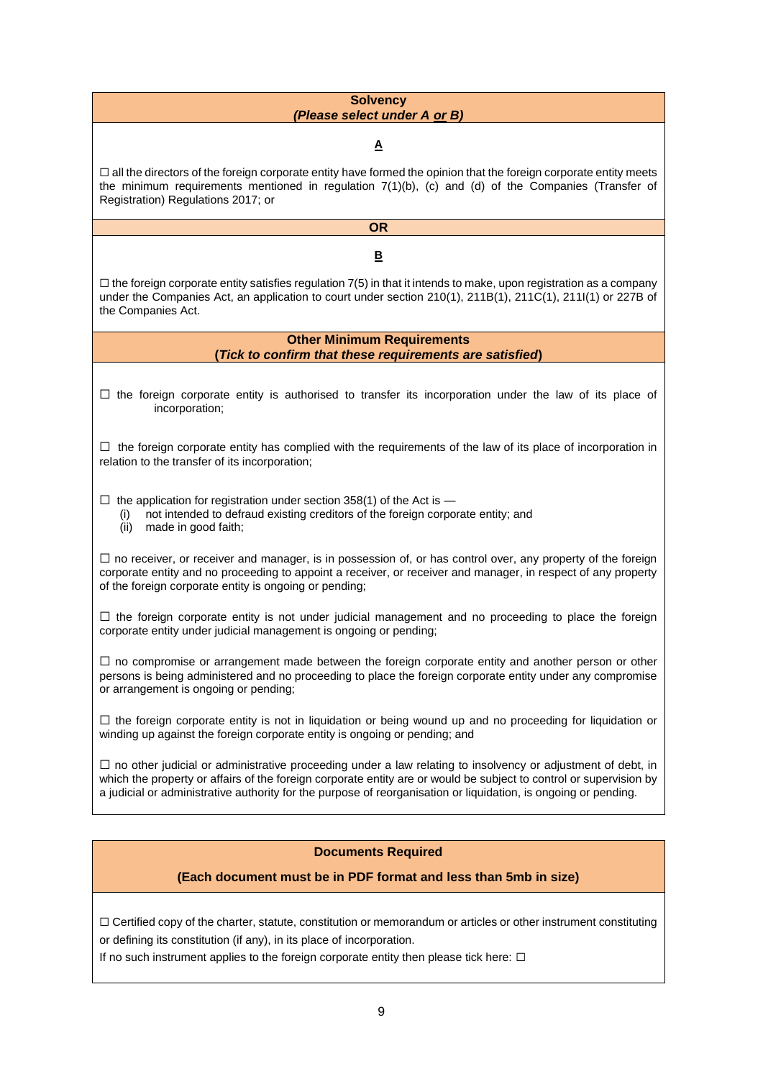#### **Solvency**  *(Please select under A or B)*

**A**

 $\Box$  all the directors of the foreign corporate entity have formed the opinion that the foreign corporate entity meets the minimum requirements mentioned in regulation 7(1)(b), (c) and (d) of the Companies (Transfer of Registration) Regulations 2017; or

# **OR**

**B**

 $\Box$  the foreign corporate entity satisfies regulation 7(5) in that it intends to make, upon registration as a company under the Companies Act, an application to court under section 210(1), 211B(1), 211C(1), 211I(1) or 227B of the Companies Act.

> **Other Minimum Requirements (***Tick to confirm that these requirements are satisfied***)**

☐ the foreign corporate entity is authorised to transfer its incorporation under the law of its place of incorporation;

☐ the foreign corporate entity has complied with the requirements of the law of its place of incorporation in relation to the transfer of its incorporation;

 $\Box$  the application for registration under section 358(1) of the Act is  $\Box$ 

(i) not intended to defraud existing creditors of the foreign corporate entity; and

(ii) made in good faith;

 $\Box$  no receiver, or receiver and manager, is in possession of, or has control over, any property of the foreign corporate entity and no proceeding to appoint a receiver, or receiver and manager, in respect of any property of the foreign corporate entity is ongoing or pending;

 $\Box$  the foreign corporate entity is not under judicial management and no proceeding to place the foreign corporate entity under judicial management is ongoing or pending;

 $\Box$  no compromise or arrangement made between the foreign corporate entity and another person or other persons is being administered and no proceeding to place the foreign corporate entity under any compromise or arrangement is ongoing or pending;

☐ the foreign corporate entity is not in liquidation or being wound up and no proceeding for liquidation or winding up against the foreign corporate entity is ongoing or pending; and

 $\Box$  no other judicial or administrative proceeding under a law relating to insolvency or adjustment of debt, in which the property or affairs of the foreign corporate entity are or would be subject to control or supervision by a judicial or administrative authority for the purpose of reorganisation or liquidation, is ongoing or pending.

### **Documents Required**

### **(Each document must be in PDF format and less than 5mb in size)**

 $\Box$  Certified copy of the charter, statute, constitution or memorandum or articles or other instrument constituting or defining its constitution (if any), in its place of incorporation.

If no such instrument applies to the foreign corporate entity then please tick here:  $\Box$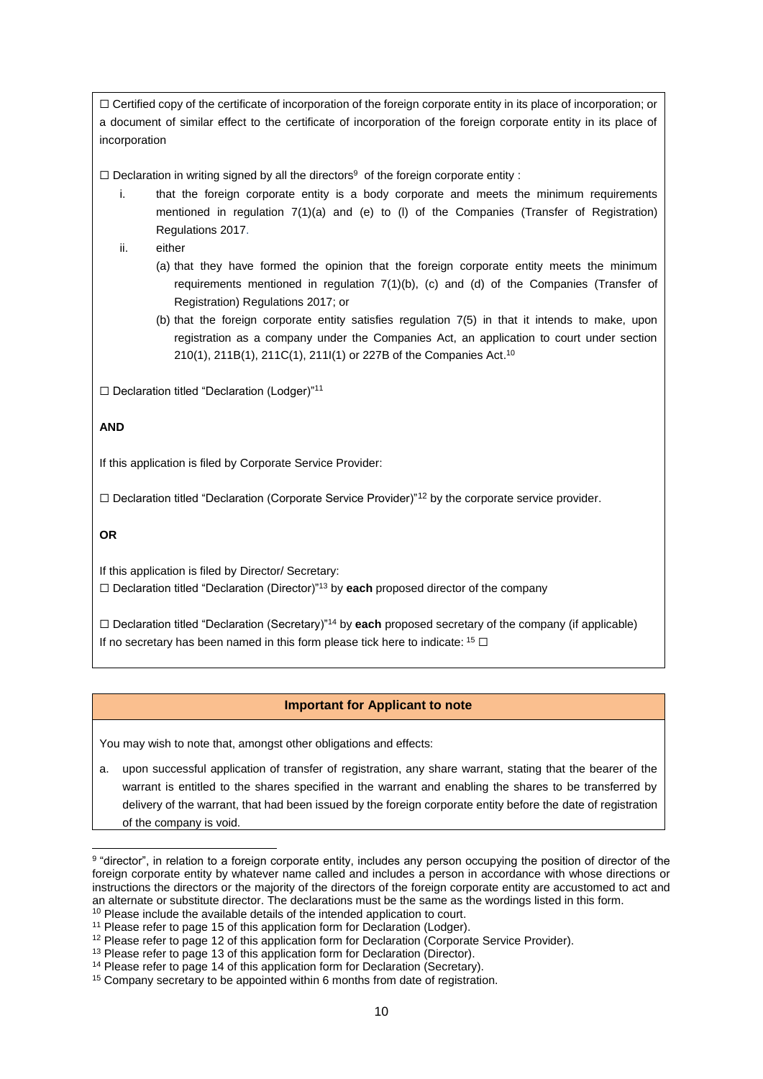☐ Certified copy of the certificate of incorporation of the foreign corporate entity in its place of incorporation; or a document of similar effect to the certificate of incorporation of the foreign corporate entity in its place of incorporation

 $\Box$  Declaration in writing signed by all the directors<sup>9</sup> of the foreign corporate entity :

- that the foreign corporate entity is a body corporate and meets the minimum requirements mentioned in regulation 7(1)(a) and (e) to (l) of the Companies (Transfer of Registration) Regulations 2017.
- ii. either
	- (a) that they have formed the opinion that the foreign corporate entity meets the minimum requirements mentioned in regulation 7(1)(b), (c) and (d) of the Companies (Transfer of Registration) Regulations 2017; or
	- (b) that the foreign corporate entity satisfies regulation 7(5) in that it intends to make, upon registration as a company under the Companies Act, an application to court under section 210(1), 211B(1), 211C(1), 211I(1) or 227B of the Companies Act.<sup>10</sup>

☐ Declaration titled "Declaration (Lodger)"<sup>11</sup>

#### **AND**

If this application is filed by Corporate Service Provider:

☐ Declaration titled "Declaration (Corporate Service Provider)"<sup>12</sup> by the corporate service provider.

**OR**

1

If this application is filed by Director/ Secretary:

☐ Declaration titled "Declaration (Director)"<sup>13</sup> by **each** proposed director of the company

☐ Declaration titled "Declaration (Secretary)"<sup>14</sup> by **each** proposed secretary of the company (if applicable) If no secretary has been named in this form please tick here to indicate:  $15 \square$ 

#### **Important for Applicant to note**

You may wish to note that, amongst other obligations and effects:

a. upon successful application of transfer of registration, any share warrant, stating that the bearer of the warrant is entitled to the shares specified in the warrant and enabling the shares to be transferred by delivery of the warrant, that had been issued by the foreign corporate entity before the date of registration of the company is void.

<sup>&</sup>lt;sup>9</sup> "director", in relation to a foreign corporate entity, includes any person occupying the position of director of the foreign corporate entity by whatever name called and includes a person in accordance with whose directions or instructions the directors or the majority of the directors of the foreign corporate entity are accustomed to act and an alternate or substitute director. The declarations must be the same as the wordings listed in this form. <sup>10</sup> Please include the available details of the intended application to court.

<sup>&</sup>lt;sup>11</sup> Please refer to page 15 of this application form for Declaration (Lodger).

<sup>&</sup>lt;sup>12</sup> Please refer to page 12 of this application form for Declaration (Corporate Service Provider).

<sup>&</sup>lt;sup>13</sup> Please refer to page 13 of this application form for Declaration (Director).

<sup>&</sup>lt;sup>14</sup> Please refer to page 14 of this application form for Declaration (Secretary).

<sup>&</sup>lt;sup>15</sup> Company secretary to be appointed within 6 months from date of registration.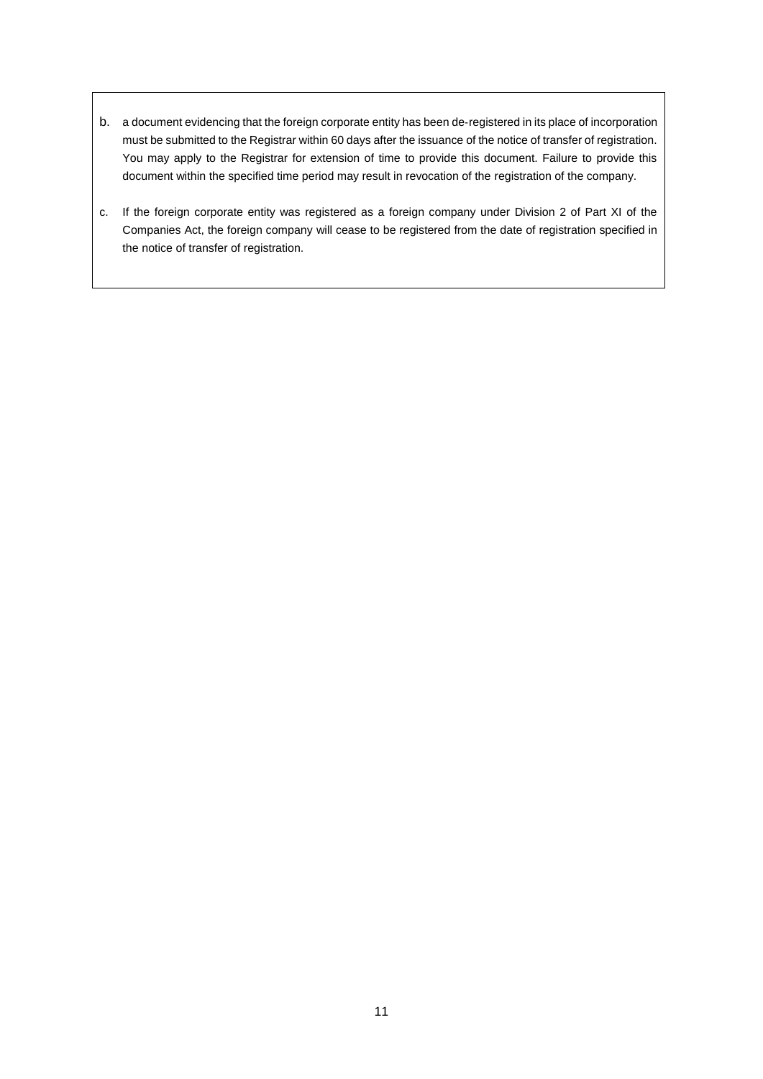- b. a document evidencing that the foreign corporate entity has been de‑registered in its place of incorporation must be submitted to the Registrar within 60 days after the issuance of the notice of transfer of registration. You may apply to the Registrar for extension of time to provide this document. Failure to provide this document within the specified time period may result in revocation of the registration of the company.
- c. If the foreign corporate entity was registered as a foreign company under Division 2 of Part XI of the Companies Act, the foreign company will cease to be registered from the date of registration specified in the notice of transfer of registration.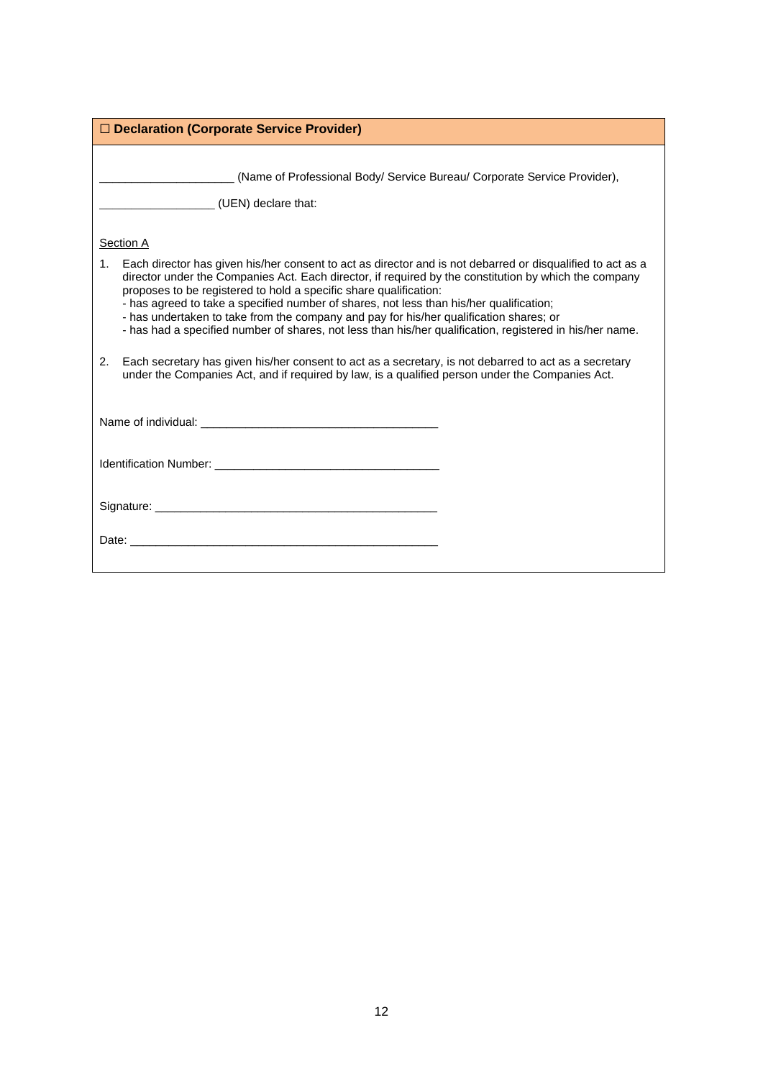| $\Box$ Declaration (Corporate Service Provider)                                                                                                                                                                                                                                                                                                                                                                                                                                                                                                                                                 |
|-------------------------------------------------------------------------------------------------------------------------------------------------------------------------------------------------------------------------------------------------------------------------------------------------------------------------------------------------------------------------------------------------------------------------------------------------------------------------------------------------------------------------------------------------------------------------------------------------|
| (Name of Professional Body/ Service Bureau/ Corporate Service Provider),<br>(UEN) declare that:                                                                                                                                                                                                                                                                                                                                                                                                                                                                                                 |
| Section A                                                                                                                                                                                                                                                                                                                                                                                                                                                                                                                                                                                       |
| Each director has given his/her consent to act as director and is not debarred or disqualified to act as a<br>1.<br>director under the Companies Act. Each director, if required by the constitution by which the company<br>proposes to be registered to hold a specific share qualification:<br>- has agreed to take a specified number of shares, not less than his/her qualification;<br>- has undertaken to take from the company and pay for his/her qualification shares; or<br>- has had a specified number of shares, not less than his/her qualification, registered in his/her name. |
| Each secretary has given his/her consent to act as a secretary, is not debarred to act as a secretary<br>2.<br>under the Companies Act, and if required by law, is a qualified person under the Companies Act.                                                                                                                                                                                                                                                                                                                                                                                  |
|                                                                                                                                                                                                                                                                                                                                                                                                                                                                                                                                                                                                 |
|                                                                                                                                                                                                                                                                                                                                                                                                                                                                                                                                                                                                 |
| Signature: Signature:                                                                                                                                                                                                                                                                                                                                                                                                                                                                                                                                                                           |
|                                                                                                                                                                                                                                                                                                                                                                                                                                                                                                                                                                                                 |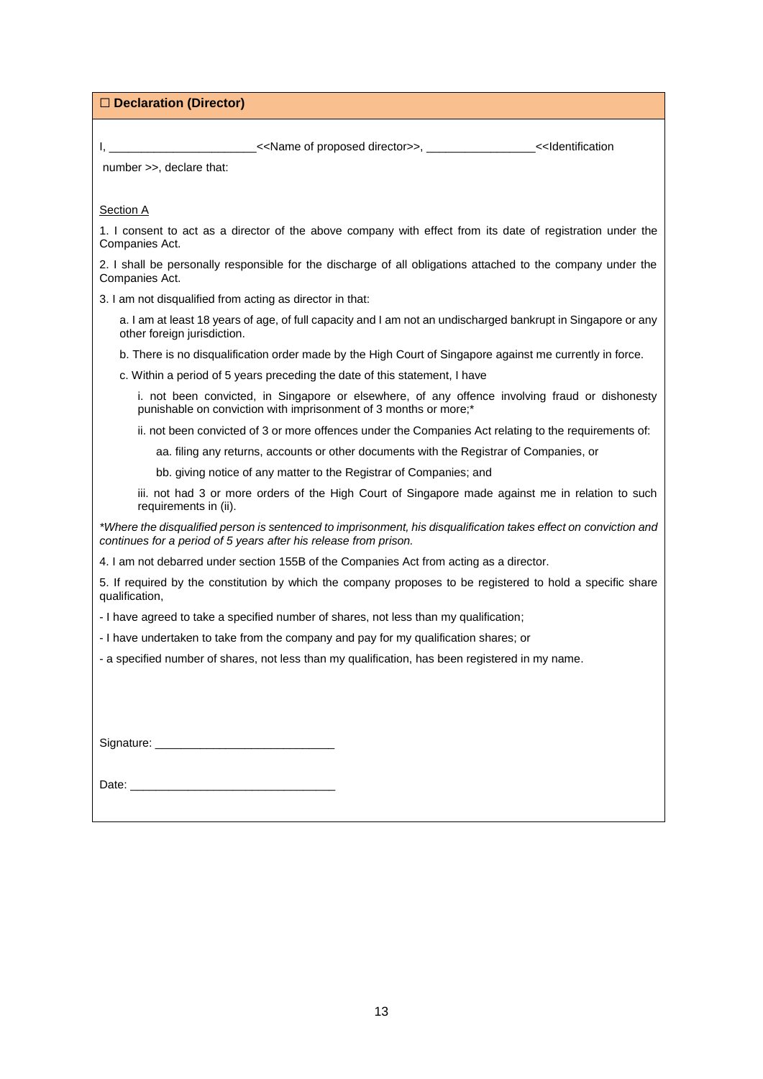☐ **Declaration (Director)**

I, \_\_\_\_\_\_\_\_\_\_\_\_\_\_\_\_\_\_\_\_\_\_\_<<Name of proposed director>>, \_\_\_\_\_\_\_\_\_\_\_\_\_\_\_\_\_<<Identification

number >>, declare that:

**Section A** 

1. I consent to act as a director of the above company with effect from its date of registration under the Companies Act.

2. I shall be personally responsible for the discharge of all obligations attached to the company under the Companies Act.

3. I am not disqualified from acting as director in that:

a. I am at least 18 years of age, of full capacity and I am not an undischarged bankrupt in Singapore or any other foreign jurisdiction.

b. There is no disqualification order made by the High Court of Singapore against me currently in force.

c. Within a period of 5 years preceding the date of this statement, I have

i. not been convicted, in Singapore or elsewhere, of any offence involving fraud or dishonesty punishable on conviction with imprisonment of 3 months or more;\*

ii. not been convicted of 3 or more offences under the Companies Act relating to the requirements of:

aa. filing any returns, accounts or other documents with the Registrar of Companies, or

bb. giving notice of any matter to the Registrar of Companies; and

iii. not had 3 or more orders of the High Court of Singapore made against me in relation to such requirements in (ii).

*\*Where the disqualified person is sentenced to imprisonment, his disqualification takes effect on conviction and continues for a period of 5 years after his release from prison.*

4. I am not debarred under section 155B of the Companies Act from acting as a director.

5. If required by the constitution by which the company proposes to be registered to hold a specific share qualification,

- I have agreed to take a specified number of shares, not less than my qualification;

- I have undertaken to take from the company and pay for my qualification shares; or

- a specified number of shares, not less than my qualification, has been registered in my name.

| Signature: |  |
|------------|--|
|            |  |

Date: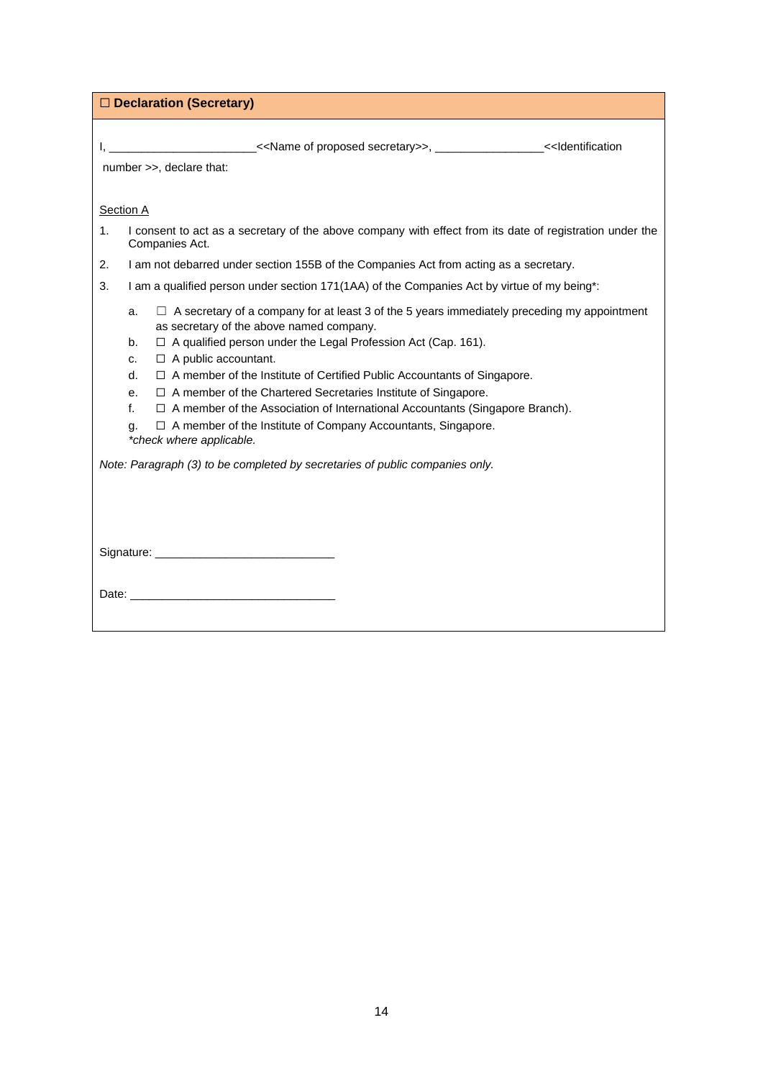| □ Declaration (Secretary)                                                                                                                                                 |  |  |  |
|---------------------------------------------------------------------------------------------------------------------------------------------------------------------------|--|--|--|
| I, ________________________< <name of="" proposed="" secretary="">&gt;, _________________&lt;<identification<br>number &gt;&gt;, declare that:</identification<br></name> |  |  |  |
| <b>Section A</b>                                                                                                                                                          |  |  |  |
| I consent to act as a secretary of the above company with effect from its date of registration under the<br>1.<br>Companies Act.                                          |  |  |  |
| I am not debarred under section 155B of the Companies Act from acting as a secretary.<br>2.                                                                               |  |  |  |
| I am a qualified person under section 171(1AA) of the Companies Act by virtue of my being*:<br>3.                                                                         |  |  |  |
| $\Box$ A secretary of a company for at least 3 of the 5 years immediately preceding my appointment<br>a.<br>as secretary of the above named company.                      |  |  |  |
| $\Box$ A qualified person under the Legal Profession Act (Cap. 161).<br>b.<br>$\Box$ A public accountant.                                                                 |  |  |  |
| c.<br>$\Box$ A member of the Institute of Certified Public Accountants of Singapore.<br>d.                                                                                |  |  |  |
| $\Box$ A member of the Chartered Secretaries Institute of Singapore.<br>е.                                                                                                |  |  |  |
| $\Box$ A member of the Association of International Accountants (Singapore Branch).<br>f.                                                                                 |  |  |  |
| $\Box$ A member of the Institute of Company Accountants, Singapore.<br>q.<br>*check where applicable.                                                                     |  |  |  |
| Note: Paragraph (3) to be completed by secretaries of public companies only.                                                                                              |  |  |  |
|                                                                                                                                                                           |  |  |  |
|                                                                                                                                                                           |  |  |  |
|                                                                                                                                                                           |  |  |  |
|                                                                                                                                                                           |  |  |  |
|                                                                                                                                                                           |  |  |  |
|                                                                                                                                                                           |  |  |  |
|                                                                                                                                                                           |  |  |  |